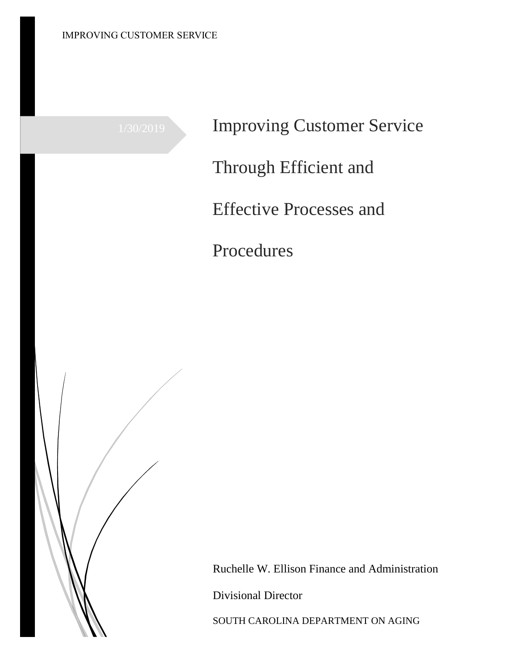1/30/2019 Improving Customer Service Through Efficient and Effective Processes and Procedures



Ruchelle W. Ellison Finance and Administration

Divisional Director

SOUTH CAROLINA DEPARTMENT ON AGING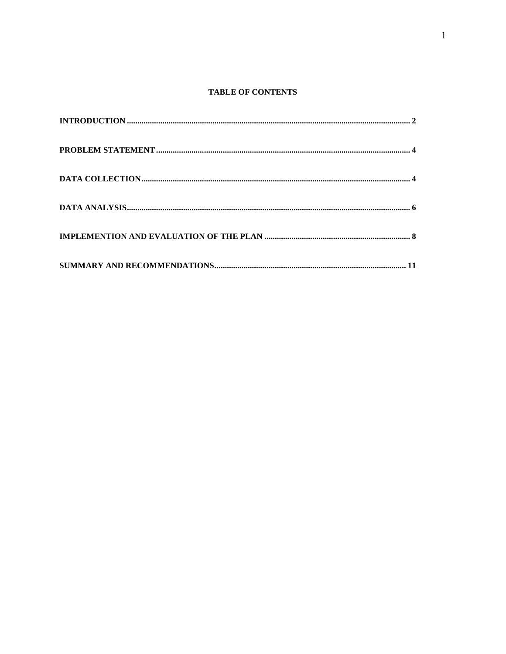# **TABLE OF CONTENTS**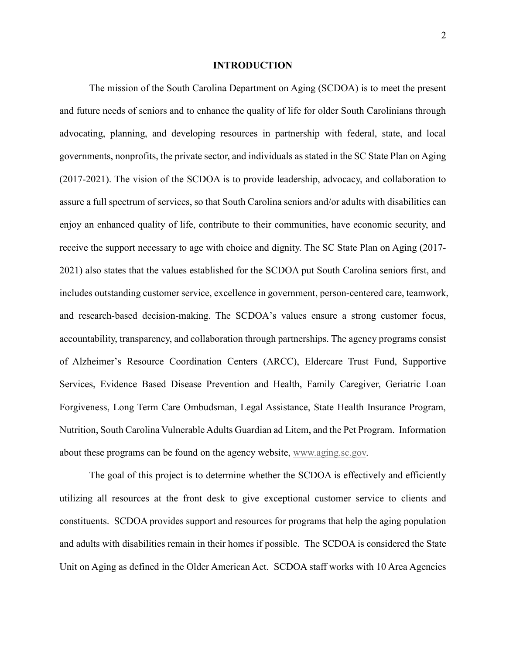## **INTRODUCTION**

The mission of the South Carolina Department on Aging (SCDOA) is to meet the present and future needs of seniors and to enhance the quality of life for older South Carolinians through advocating, planning, and developing resources in partnership with federal, state, and local governments, nonprofits, the private sector, and individuals as stated in the SC State Plan on Aging (2017-2021). The vision of the SCDOA is to provide leadership, advocacy, and collaboration to assure a full spectrum of services, so that South Carolina seniors and/or adults with disabilities can enjoy an enhanced quality of life, contribute to their communities, have economic security, and receive the support necessary to age with choice and dignity. The SC State Plan on Aging (2017- 2021) also states that the values established for the SCDOA put South Carolina seniors first, and includes outstanding customer service, excellence in government, person-centered care, teamwork, and research-based decision-making. The SCDOA's values ensure a strong customer focus, accountability, transparency, and collaboration through partnerships. The agency programs consist of Alzheimer's Resource Coordination Centers (ARCC), Eldercare Trust Fund, Supportive Services, Evidence Based Disease Prevention and Health, Family Caregiver, Geriatric Loan Forgiveness, Long Term Care Ombudsman, Legal Assistance, State Health Insurance Program, Nutrition, South Carolina Vulnerable Adults Guardian ad Litem, and the Pet Program. Information about these programs can be found on the agency website, [www.aging.sc.gov.](http://www.aging.sc.gov/)

The goal of this project is to determine whether the SCDOA is effectively and efficiently utilizing all resources at the front desk to give exceptional customer service to clients and constituents. SCDOA provides support and resources for programs that help the aging population and adults with disabilities remain in their homes if possible. The SCDOA is considered the State Unit on Aging as defined in the Older American Act. SCDOA staff works with 10 Area Agencies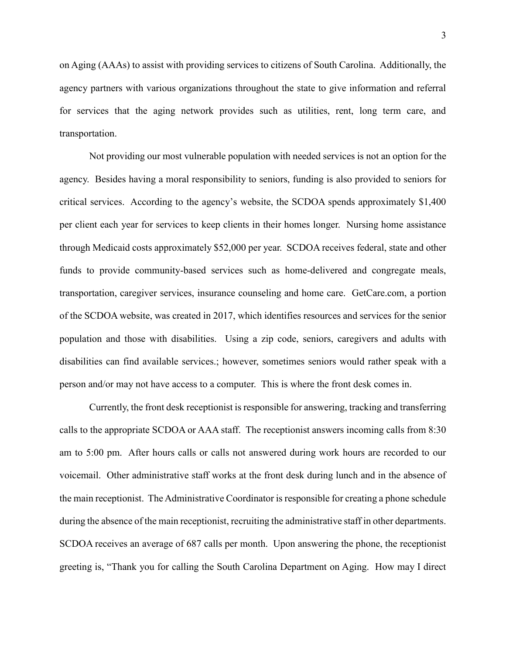on Aging (AAAs) to assist with providing services to citizens of South Carolina. Additionally, the agency partners with various organizations throughout the state to give information and referral for services that the aging network provides such as utilities, rent, long term care, and transportation.

Not providing our most vulnerable population with needed services is not an option for the agency. Besides having a moral responsibility to seniors, funding is also provided to seniors for critical services. According to the agency's website, the SCDOA spends approximately \$1,400 per client each year for services to keep clients in their homes longer. Nursing home assistance through Medicaid costs approximately \$52,000 per year. SCDOA receives federal, state and other funds to provide community-based services such as home-delivered and congregate meals, transportation, caregiver services, insurance counseling and home care. GetCare.com, a portion of the SCDOA website, was created in 2017, which identifies resources and services for the senior population and those with disabilities. Using a zip code, seniors, caregivers and adults with disabilities can find available services.; however, sometimes seniors would rather speak with a person and/or may not have access to a computer. This is where the front desk comes in.

Currently, the front desk receptionist is responsible for answering, tracking and transferring calls to the appropriate SCDOA or AAA staff. The receptionist answers incoming calls from 8:30 am to 5:00 pm. After hours calls or calls not answered during work hours are recorded to our voicemail. Other administrative staff works at the front desk during lunch and in the absence of the main receptionist. The Administrative Coordinator is responsible for creating a phone schedule during the absence of the main receptionist, recruiting the administrative staff in other departments. SCDOA receives an average of 687 calls per month. Upon answering the phone, the receptionist greeting is, "Thank you for calling the South Carolina Department on Aging. How may I direct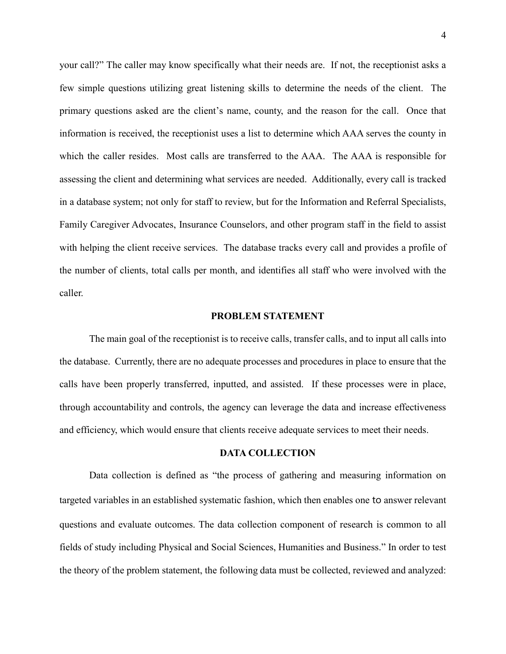your call?" The caller may know specifically what their needs are. If not, the receptionist asks a few simple questions utilizing great listening skills to determine the needs of the client. The primary questions asked are the client's name, county, and the reason for the call. Once that information is received, the receptionist uses a list to determine which AAA serves the county in which the caller resides. Most calls are transferred to the AAA. The AAA is responsible for assessing the client and determining what services are needed. Additionally, every call is tracked in a database system; not only for staff to review, but for the Information and Referral Specialists, Family Caregiver Advocates, Insurance Counselors, and other program staff in the field to assist with helping the client receive services. The database tracks every call and provides a profile of the number of clients, total calls per month, and identifies all staff who were involved with the caller.

## **PROBLEM STATEMENT**

The main goal of the receptionist is to receive calls, transfer calls, and to input all calls into the database. Currently, there are no adequate processes and procedures in place to ensure that the calls have been properly transferred, inputted, and assisted. If these processes were in place, through accountability and controls, the agency can leverage the data and increase effectiveness and efficiency, which would ensure that clients receive adequate services to meet their needs.

## **DATA COLLECTION**

Data collection is defined as "the process of gathering and measuring information on targeted variables in an established systematic fashion, which then enables one to answer relevant questions and evaluate outcomes. The data collection component of research is common to all fields of study including Physical and Social Sciences, Humanities and Business." In order to test the theory of the problem statement, the following data must be collected, reviewed and analyzed: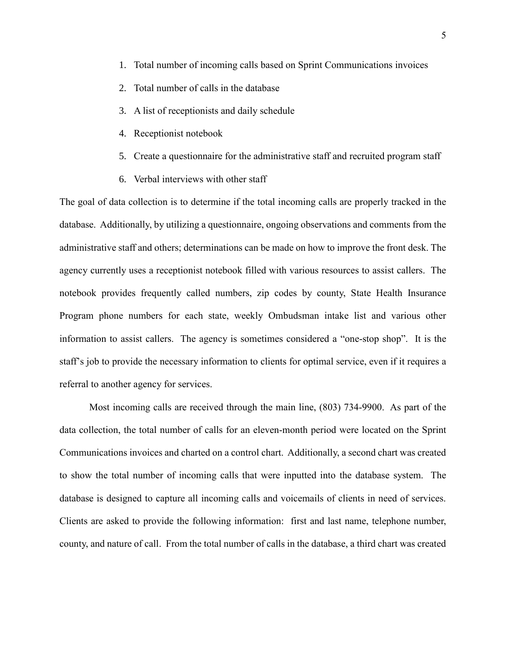- 1. Total number of incoming calls based on Sprint Communications invoices
- 2. Total number of calls in the database
- 3. A list of receptionists and daily schedule
- 4. Receptionist notebook
- 5. Create a questionnaire for the administrative staff and recruited program staff
- 6. Verbal interviews with other staff

The goal of data collection is to determine if the total incoming calls are properly tracked in the database. Additionally, by utilizing a questionnaire, ongoing observations and comments from the administrative staff and others; determinations can be made on how to improve the front desk. The agency currently uses a receptionist notebook filled with various resources to assist callers. The notebook provides frequently called numbers, zip codes by county, State Health Insurance Program phone numbers for each state, weekly Ombudsman intake list and various other information to assist callers. The agency is sometimes considered a "one-stop shop". It is the staff's job to provide the necessary information to clients for optimal service, even if it requires a referral to another agency for services.

Most incoming calls are received through the main line, (803) 734-9900. As part of the data collection, the total number of calls for an eleven-month period were located on the Sprint Communications invoices and charted on a control chart. Additionally, a second chart was created to show the total number of incoming calls that were inputted into the database system. The database is designed to capture all incoming calls and voicemails of clients in need of services. Clients are asked to provide the following information: first and last name, telephone number, county, and nature of call. From the total number of calls in the database, a third chart was created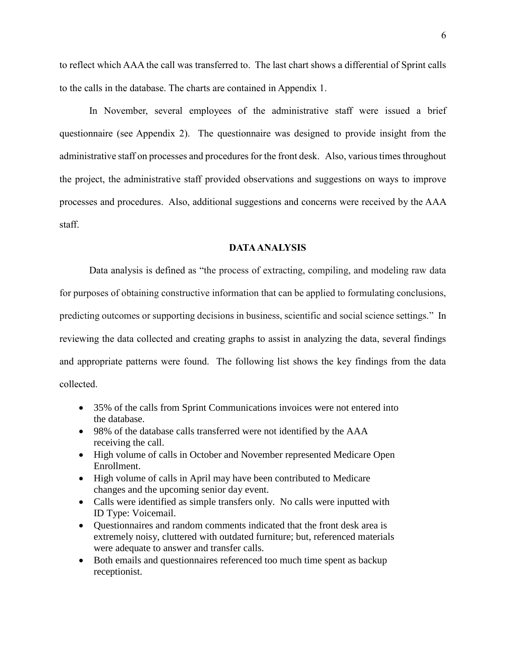to reflect which AAA the call was transferred to. The last chart shows a differential of Sprint calls to the calls in the database. The charts are contained in Appendix 1.

In November, several employees of the administrative staff were issued a brief questionnaire (see Appendix 2). The questionnaire was designed to provide insight from the administrative staff on processes and procedures for the front desk. Also, various times throughout the project, the administrative staff provided observations and suggestions on ways to improve processes and procedures. Also, additional suggestions and concerns were received by the AAA staff.

## **DATA ANALYSIS**

Data analysis is defined as "the process of extracting, compiling, and modeling raw data for purposes of obtaining constructive information that can be applied to formulating conclusions, predicting outcomes or supporting decisions in business, scientific and social science settings." In reviewing the data collected and creating graphs to assist in analyzing the data, several findings and appropriate patterns were found. The following list shows the key findings from the data collected.

- 35% of the calls from Sprint Communications invoices were not entered into the database.
- 98% of the database calls transferred were not identified by the AAA receiving the call.
- High volume of calls in October and November represented Medicare Open Enrollment.
- High volume of calls in April may have been contributed to Medicare changes and the upcoming senior day event.
- Calls were identified as simple transfers only. No calls were inputted with ID Type: Voicemail.
- Ouestionnaires and random comments indicated that the front desk area is extremely noisy, cluttered with outdated furniture; but, referenced materials were adequate to answer and transfer calls.
- Both emails and questionnaires referenced too much time spent as backup receptionist.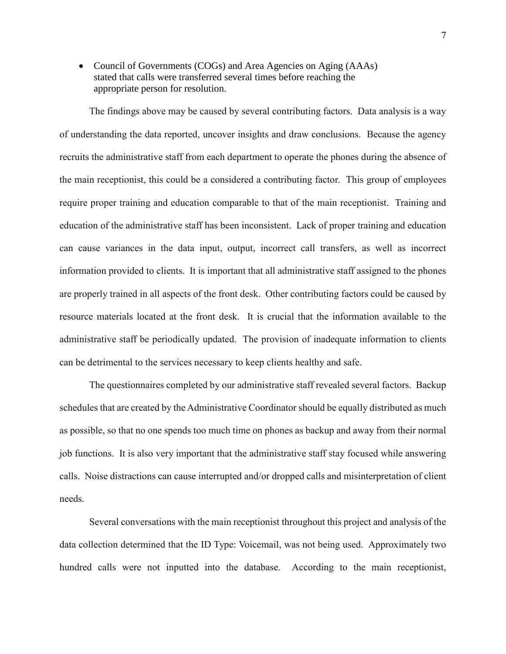• Council of Governments (COGs) and Area Agencies on Aging (AAAs) stated that calls were transferred several times before reaching the appropriate person for resolution.

The findings above may be caused by several contributing factors. Data analysis is a way of understanding the data reported, uncover insights and draw conclusions. Because the agency recruits the administrative staff from each department to operate the phones during the absence of the main receptionist, this could be a considered a contributing factor. This group of employees require proper training and education comparable to that of the main receptionist. Training and education of the administrative staff has been inconsistent. Lack of proper training and education can cause variances in the data input, output, incorrect call transfers, as well as incorrect information provided to clients. It is important that all administrative staff assigned to the phones are properly trained in all aspects of the front desk. Other contributing factors could be caused by resource materials located at the front desk. It is crucial that the information available to the administrative staff be periodically updated. The provision of inadequate information to clients can be detrimental to the services necessary to keep clients healthy and safe.

The questionnaires completed by our administrative staff revealed several factors. Backup schedules that are created by the Administrative Coordinator should be equally distributed as much as possible, so that no one spends too much time on phones as backup and away from their normal job functions. It is also very important that the administrative staff stay focused while answering calls. Noise distractions can cause interrupted and/or dropped calls and misinterpretation of client needs.

Several conversations with the main receptionist throughout this project and analysis of the data collection determined that the ID Type: Voicemail, was not being used. Approximately two hundred calls were not inputted into the database. According to the main receptionist,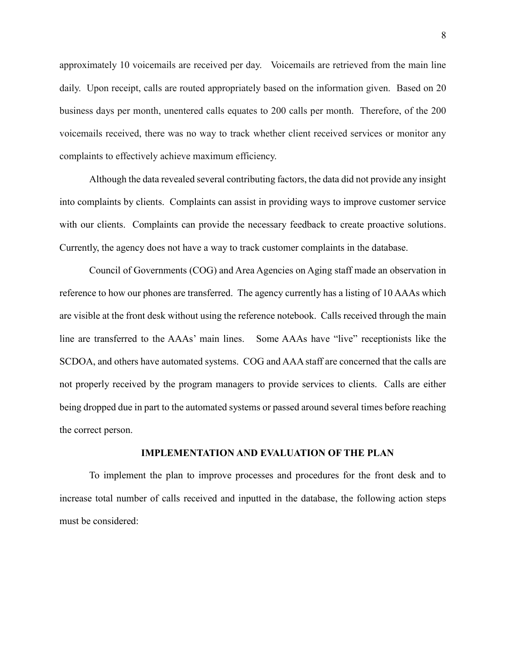approximately 10 voicemails are received per day. Voicemails are retrieved from the main line daily. Upon receipt, calls are routed appropriately based on the information given. Based on 20 business days per month, unentered calls equates to 200 calls per month. Therefore, of the 200 voicemails received, there was no way to track whether client received services or monitor any complaints to effectively achieve maximum efficiency.

Although the data revealed several contributing factors, the data did not provide any insight into complaints by clients. Complaints can assist in providing ways to improve customer service with our clients. Complaints can provide the necessary feedback to create proactive solutions. Currently, the agency does not have a way to track customer complaints in the database.

Council of Governments (COG) and Area Agencies on Aging staff made an observation in reference to how our phones are transferred. The agency currently has a listing of 10 AAAs which are visible at the front desk without using the reference notebook. Calls received through the main line are transferred to the AAAs' main lines. Some AAAs have "live" receptionists like the SCDOA, and others have automated systems. COG and AAA staff are concerned that the calls are not properly received by the program managers to provide services to clients. Calls are either being dropped due in part to the automated systems or passed around several times before reaching the correct person.

## **IMPLEMENTATION AND EVALUATION OF THE PLAN**

To implement the plan to improve processes and procedures for the front desk and to increase total number of calls received and inputted in the database, the following action steps must be considered: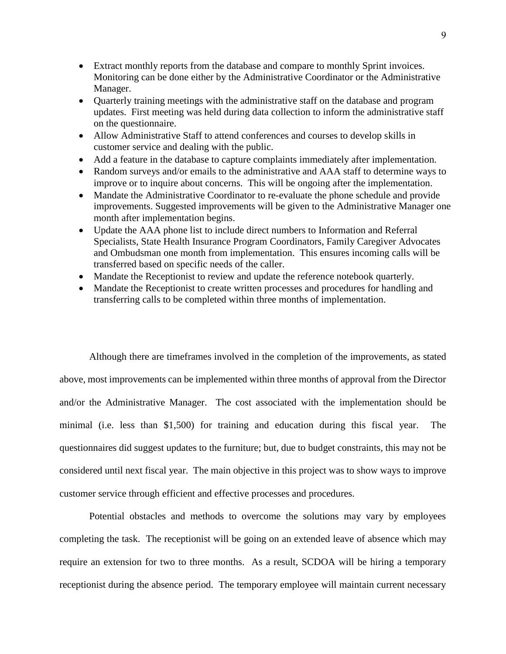- Extract monthly reports from the database and compare to monthly Sprint invoices. Monitoring can be done either by the Administrative Coordinator or the Administrative Manager.
- Quarterly training meetings with the administrative staff on the database and program updates. First meeting was held during data collection to inform the administrative staff on the questionnaire.
- Allow Administrative Staff to attend conferences and courses to develop skills in customer service and dealing with the public.
- Add a feature in the database to capture complaints immediately after implementation.
- Random surveys and/or emails to the administrative and AAA staff to determine ways to improve or to inquire about concerns. This will be ongoing after the implementation.
- Mandate the Administrative Coordinator to re-evaluate the phone schedule and provide improvements. Suggested improvements will be given to the Administrative Manager one month after implementation begins.
- Update the AAA phone list to include direct numbers to Information and Referral Specialists, State Health Insurance Program Coordinators, Family Caregiver Advocates and Ombudsman one month from implementation. This ensures incoming calls will be transferred based on specific needs of the caller.
- Mandate the Receptionist to review and update the reference notebook quarterly.
- Mandate the Receptionist to create written processes and procedures for handling and transferring calls to be completed within three months of implementation.

Although there are timeframes involved in the completion of the improvements, as stated above, most improvements can be implemented within three months of approval from the Director and/or the Administrative Manager. The cost associated with the implementation should be minimal (i.e. less than \$1,500) for training and education during this fiscal year. The questionnaires did suggest updates to the furniture; but, due to budget constraints, this may not be considered until next fiscal year. The main objective in this project was to show ways to improve customer service through efficient and effective processes and procedures.

Potential obstacles and methods to overcome the solutions may vary by employees completing the task. The receptionist will be going on an extended leave of absence which may require an extension for two to three months. As a result, SCDOA will be hiring a temporary receptionist during the absence period. The temporary employee will maintain current necessary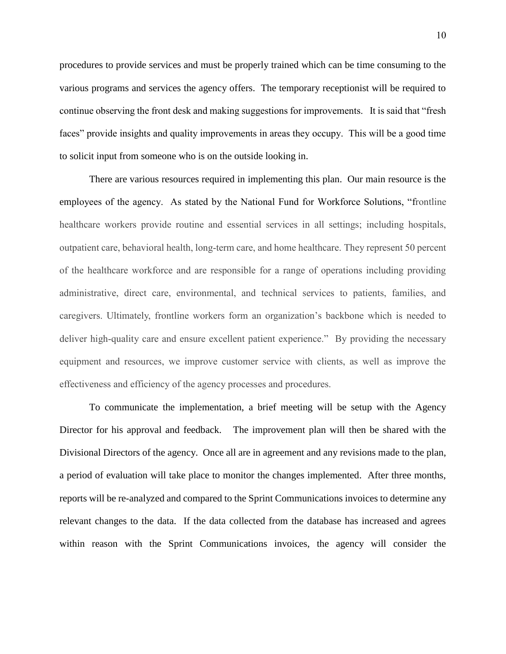procedures to provide services and must be properly trained which can be time consuming to the various programs and services the agency offers. The temporary receptionist will be required to continue observing the front desk and making suggestions for improvements. It is said that "fresh faces" provide insights and quality improvements in areas they occupy. This will be a good time to solicit input from someone who is on the outside looking in.

There are various resources required in implementing this plan. Our main resource is the employees of the agency. As stated by the National Fund for Workforce Solutions, "frontline healthcare workers provide routine and essential services in all settings; including hospitals, outpatient care, behavioral health, long-term care, and home healthcare. They represent 50 percent of the healthcare workforce and are responsible for a range of operations including providing administrative, direct care, environmental, and technical services to patients, families, and caregivers. Ultimately, frontline workers form an organization's backbone which is needed to deliver high-quality care and ensure excellent patient experience." By providing the necessary equipment and resources, we improve customer service with clients, as well as improve the effectiveness and efficiency of the agency processes and procedures.

To communicate the implementation, a brief meeting will be setup with the Agency Director for his approval and feedback. The improvement plan will then be shared with the Divisional Directors of the agency. Once all are in agreement and any revisions made to the plan, a period of evaluation will take place to monitor the changes implemented. After three months, reports will be re-analyzed and compared to the Sprint Communications invoices to determine any relevant changes to the data. If the data collected from the database has increased and agrees within reason with the Sprint Communications invoices, the agency will consider the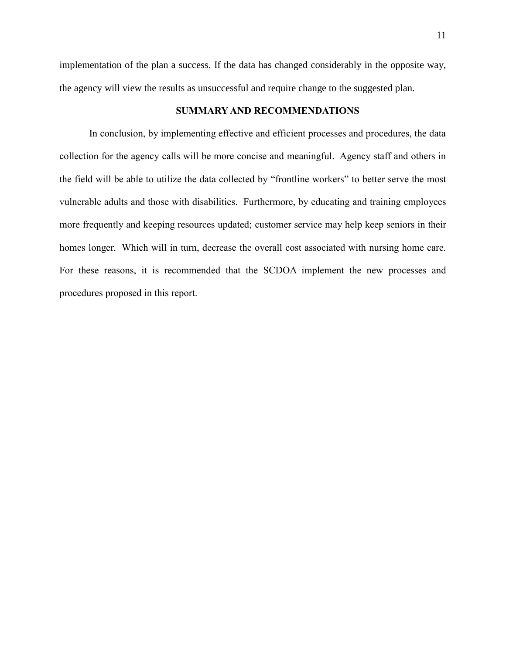implementation of the plan a success. If the data has changed considerably in the opposite way, the agency will view the results as unsuccessful and require change to the suggested plan.

# **SUMMARY AND RECOMMENDATIONS**

In conclusion, by implementing effective and efficient processes and procedures, the data collection for the agency calls will be more concise and meaningful. Agency staff and others in the field will be able to utilize the data collected by "frontline workers" to better serve the most vulnerable adults and those with disabilities. Furthermore, by educating and training employees more frequently and keeping resources updated; customer service may help keep seniors in their homes longer. Which will in turn, decrease the overall cost associated with nursing home care. For these reasons, it is recommended that the SCDOA implement the new processes and procedures proposed in this report.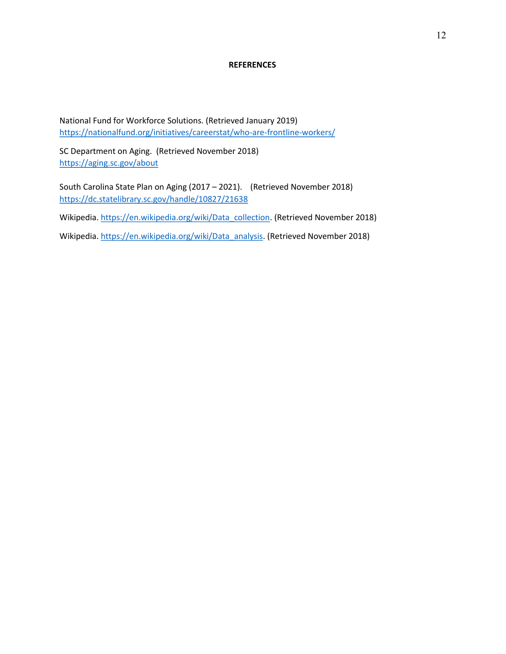#### **REFERENCES**

National Fund for Workforce Solutions. (Retrieved January 2019) https://nationalfund.org/initiatives/careerstat/who-are-frontline-workers/

SC Department on Aging. (Retrieved November 2018) https://aging.sc.gov/about

South Carolina State Plan on Aging (2017 – 2021). (Retrieved November 2018) https://dc.statelibrary.sc.gov/handle/10827/21638

Wikipedia. https://en.wikipedia.org/wiki/Data\_collection. (Retrieved November 2018)

Wikipedia. https://en.wikipedia.org/wiki/Data\_analysis. (Retrieved November 2018)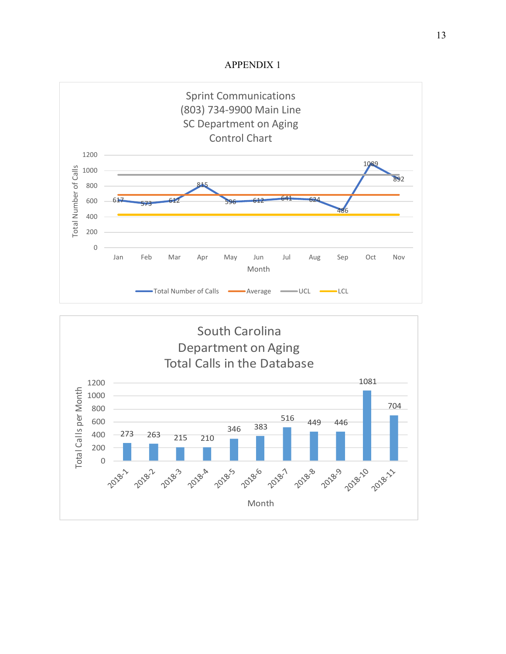

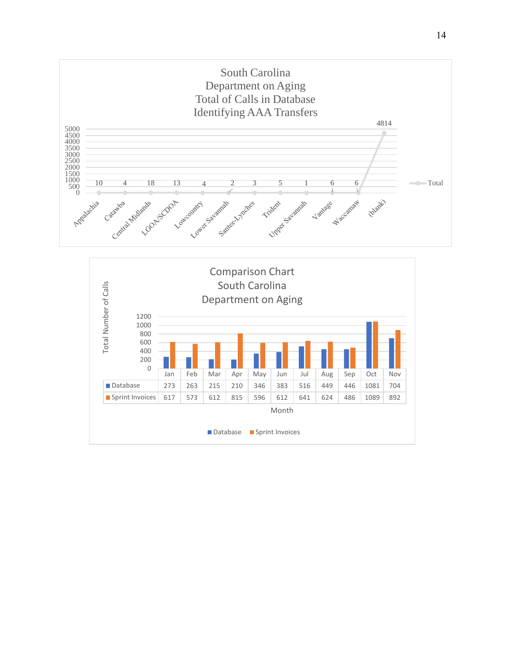